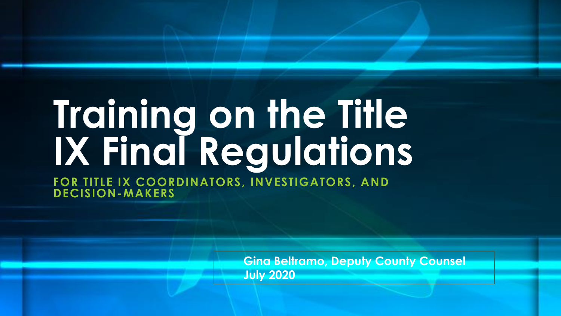# **Training on the Title IX Final Regulations**

**FOR TITLE IX COORDINATORS, INVESTIGATORS, AND DECISION-MAKERS**

> **Gina Beltramo, Deputy County Counsel July 2020**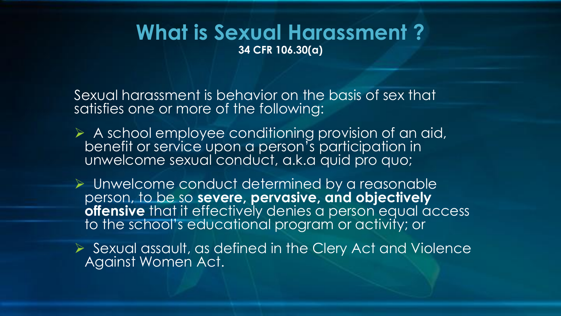#### **What is Sexual Harassment ? 34 CFR 106.30(a)**

Sexual harassment is behavior on the basis of sex that satisfies one or more of the following:

- ➢ A school employee conditioning provision of an aid, benefit or service upon a person's participation in unwelcome sexual conduct, a.k.a quid pro quo;
- ➢ Unwelcome conduct determined by a reasonable person, to be so **severe, pervasive, and objectively offensive** that it effectively denies a person equal access to the school's educational program or activity; or
- ➢ Sexual assault, as defined in the Clery Act and Violence Against Women Act.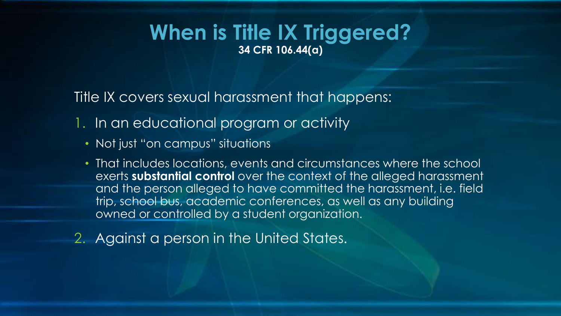#### **When is Title IX Triggered? 34 CFR 106.44(a)**

Title IX covers sexual harassment that happens:

- 1. In an educational program or activity
	- Not just "on campus" situations
	- That includes locations, events and circumstances where the school exerts **substantial control** over the context of the alleged harassment and the person alleged to have committed the harassment, i.e. field trip, school bus, academic conferences, as well as any building owned or controlled by a student organization.
- 2. Against a person in the United States.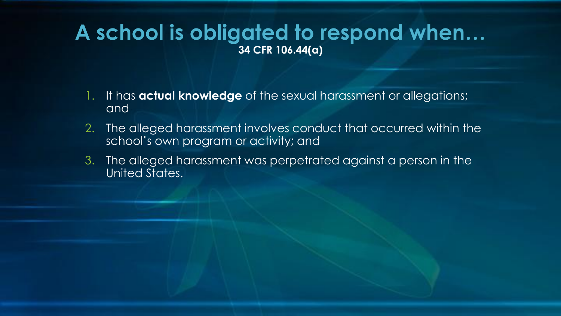### **A school is obligated to respond when… 34 CFR 106.44(a)**

- 1. It has **actual knowledge** of the sexual harassment or allegations; and
- 2. The alleged harassment involves conduct that occurred within the school's own program or activity; and
- 3. The alleged harassment was perpetrated against a person in the United States.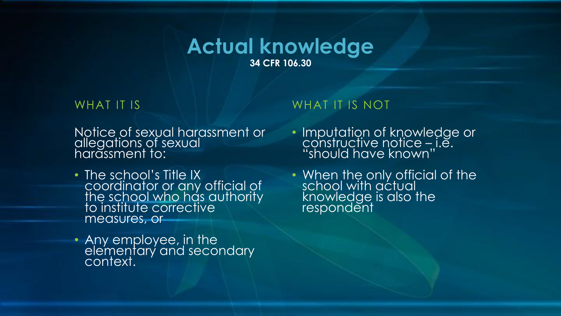#### **Actual knowledge 34 CFR 106.30**

#### WHAT IT IS

Notice of sexual harassment or allegations of sexual harassment to:

- The school's Title IX coordinator or any official of the school who has authority to institute corrective measures, or
- Any employee, in the elementary and secondary context.

#### WHAT IT IS NOT

- Imputation of knowledge or constructive notice – i.e. "should have known"
- When the only official of the school with actual knowledge is also the respondent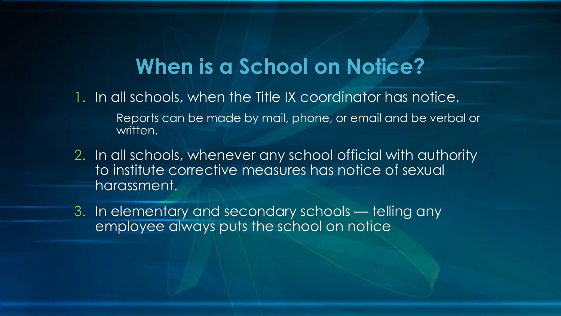### **When is a School on Notice?**

- 1. In all schools, when the Title IX coordinator has notice.
	- Reports can be made by mail, phone, or email and be verbal or written.
- 2. In all schools, whenever any school official with authority to institute corrective measures has notice of sexual harassment.
- 3. In elementary and secondary schools telling any employee always puts the school on notice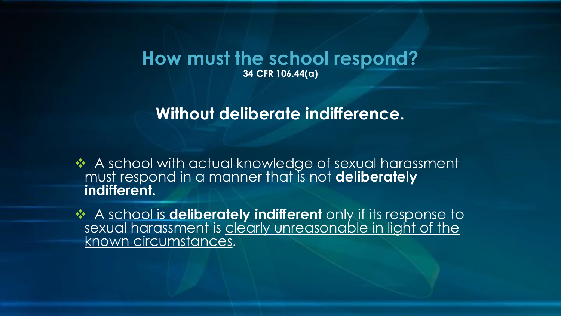#### **How must the school respond? 34 CFR 106.44(a)**

### **Without deliberate indifference.**

❖ A school with actual knowledge of sexual harassment must respond in a manner that is not **deliberately indifferent.**

❖ A school is **deliberately indifferent** only if its response to sexual harassment is clearly unreasonable in light of the known circumstances.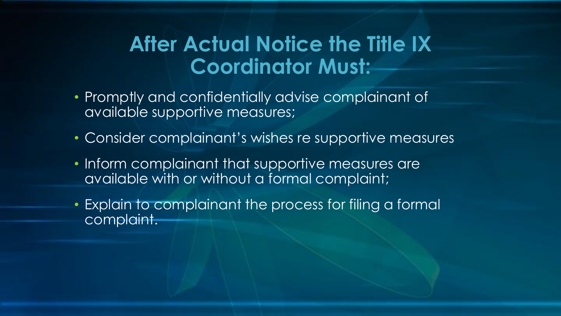### **After Actual Notice the Title IX Coordinator Must:**

- Promptly and confidentially advise complainant of available supportive measures;
- Consider complainant's wishes re supportive measures
- Inform complainant that supportive measures are available with or without a formal complaint;
- Explain to complainant the process for filing a formal complaint.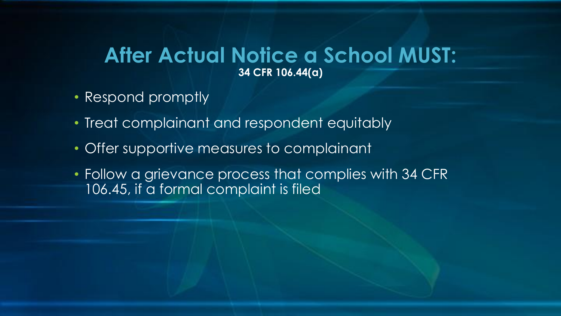#### **After Actual Notice a School MUST: 34 CFR 106.44(a)**

- Respond promptly
- Treat complainant and respondent equitably
- Offer supportive measures to complainant
- Follow a grievance process that complies with 34 CFR 106.45, if a formal complaint is filed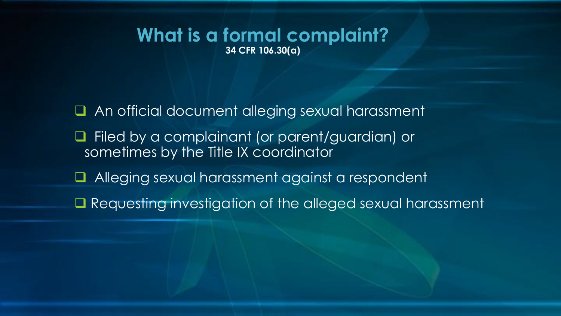#### **What is a formal complaint? 34 CFR 106.30(a)**

- ❑ An official document alleging sexual harassment
- ❑ Filed by a complainant (or parent/guardian) or sometimes by the Title IX coordinator
- ❑ Alleging sexual harassment against a respondent
- Requesting investigation of the alleged sexual harassment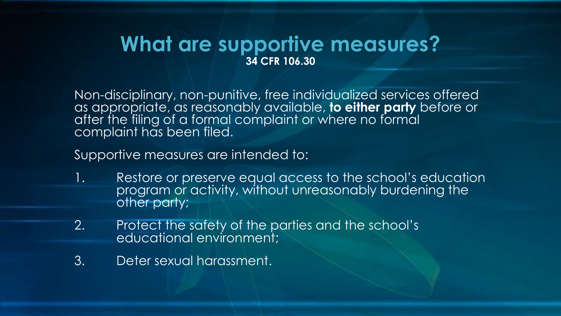### **What are supportive measures? 34 CFR 106.30**

Non-disciplinary, non-punitive, free individualized services offered as appropriate, as reasonably available, **to either party** before or after the filing of a formal complaint or where no formal complaint has been filed.

Supportive measures are intended to:

- 1. Restore or preserve equal access to the school's education program or activity, without unreasonably burdening the other party;
- 2. Protect the safety of the parties and the school's educational environment;
- 3. Deter sexual harassment.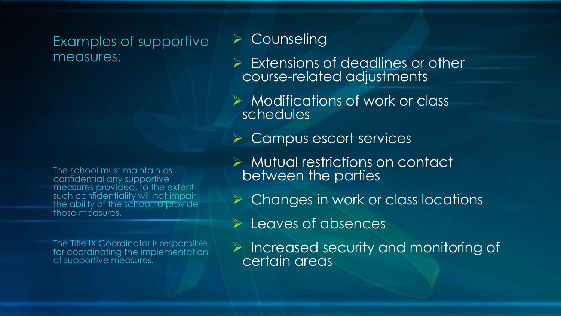#### Examples of supportive measures:

The school must maintain as confidential any supportive measures provided, to the extent such confidentiality will not impair the ability of the school to provide those measures.

The Title IX Coordinator is responsible for coordinating the implementation of supportive measures.

### ➢ Counseling

- ➢ Extensions of deadlines or other course-related adjustments
- ➢ Modifications of work or class schedules
- ➢ Campus escort services
- ➢ Mutual restrictions on contact between the parties
- ➢ Changes in work or class locations
- ➢ Leaves of absences
- ➢ Increased security and monitoring of certain areas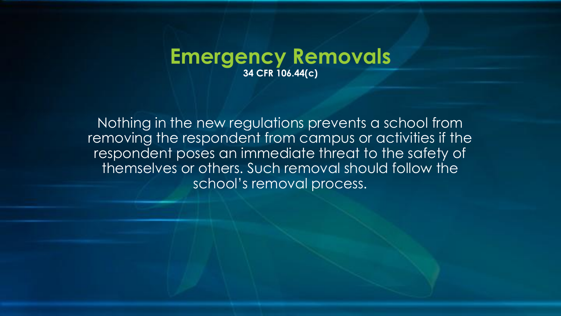#### **Emergency Removals 34 CFR 106.44(c)**

Nothing in the new regulations prevents a school from removing the respondent from campus or activities if the respondent poses an immediate threat to the safety of themselves or others. Such removal should follow the school's removal process.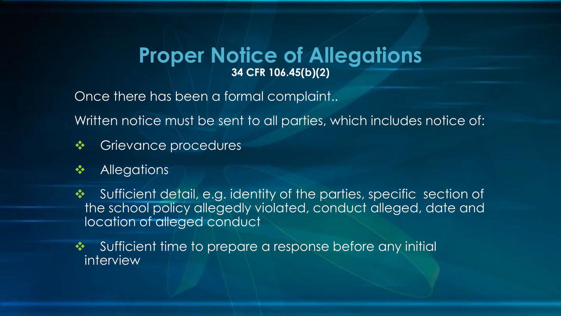#### **Proper Notice of Allegations 34 CFR 106.45(b)(2)**

Once there has been a formal complaint..

Written notice must be sent to all parties, which includes notice of:

- ❖ Grievance procedures
- ❖ Allegations
- ❖ Sufficient detail, e.g. identity of the parties, specific section of the school policy allegedly violated, conduct alleged, date and location of alleged conduct
- ❖ Sufficient time to prepare a response before any initial interview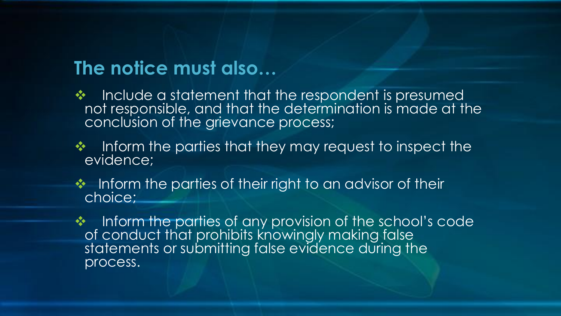### **The notice must also…**

- ❖ Include a statement that the respondent is presumed not responsible, and that the determination is made at the conclusion of the grievance process;
- ❖ Inform the parties that they may request to inspect the evidence;
- ❖ Inform the parties of their right to an advisor of their choice;
- ❖ Inform the parties of any provision of the school's code of conduct that prohibits knowingly making false statements or submitting false evidence during the process.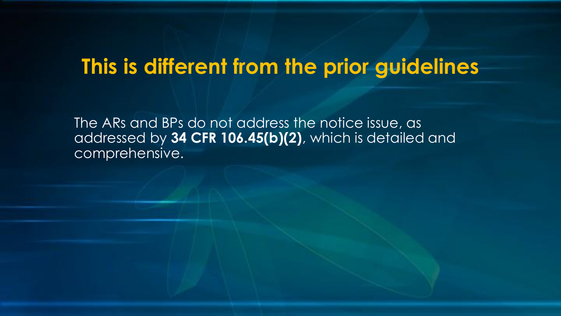### **This is different from the prior guidelines**

The ARs and BPs do not address the notice issue, as addressed by **34 CFR 106.45(b)(2)**, which is detailed and comprehensive.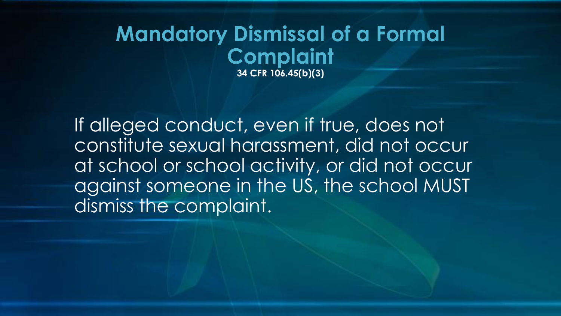### **Mandatory Dismissal of a Formal Complaint 34 CFR 106.45(b)(3)**

If alleged conduct, even if true, does not constitute sexual harassment, did not occur at school or school activity, or did not occur against someone in the US, the school MUST dismiss the complaint.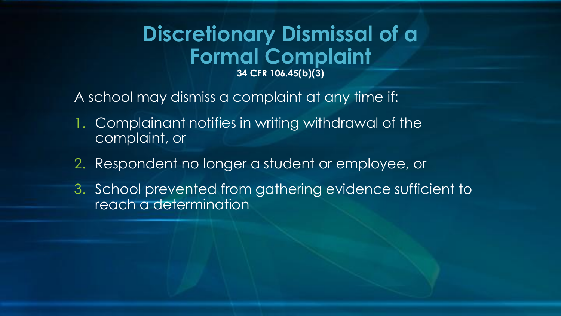### **Discretionary Dismissal of a Formal Complaint 34 CFR 106.45(b)(3)**

- A school may dismiss a complaint at any time if:
- 1. Complainant notifies in writing withdrawal of the complaint, or
- 2. Respondent no longer a student or employee, or
- 3. School prevented from gathering evidence sufficient to reach a determination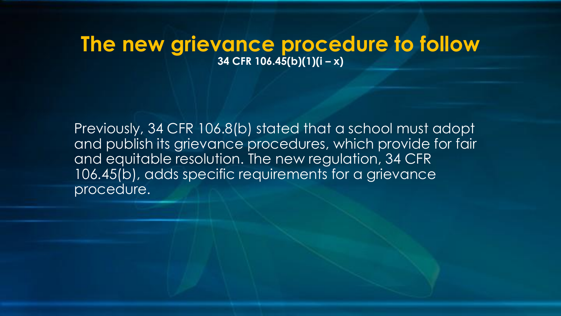### **The new grievance procedure to follow 34 CFR 106.45(b)(1)(i – x)**

Previously, 34 CFR 106.8(b) stated that a school must adopt and publish its grievance procedures, which provide for fair and equitable resolution. The new regulation, 34 CFR 106.45(b), adds specific requirements for a grievance procedure.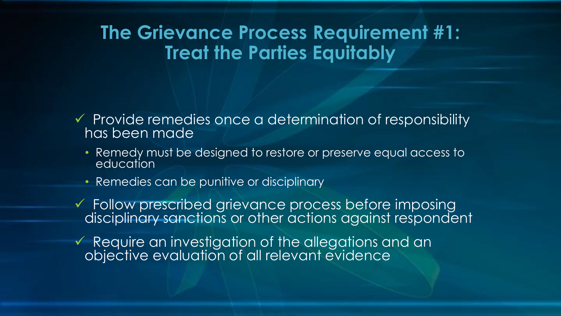### **The Grievance Process Requirement #1: Treat the Parties Equitably**

- ✓ Provide remedies once a determination of responsibility has been made
	- Remedy must be designed to restore or preserve equal access to education
	- Remedies can be punitive or disciplinary
- ✓ Follow prescribed grievance process before imposing disciplinary sanctions or other actions against respondent
- ✓ Require an investigation of the allegations and an objective evaluation of all relevant evidence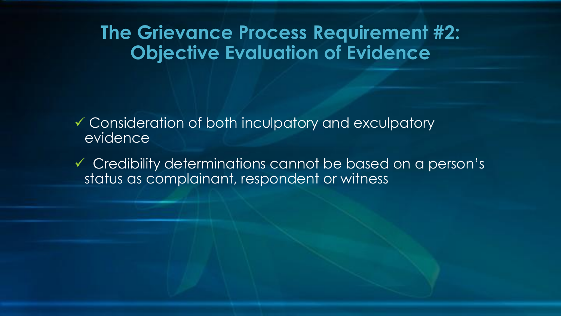### **The Grievance Process Requirement #2: Objective Evaluation of Evidence**

✓ Consideration of both inculpatory and exculpatory evidence

✓ Credibility determinations cannot be based on a person's status as complainant, respondent or witness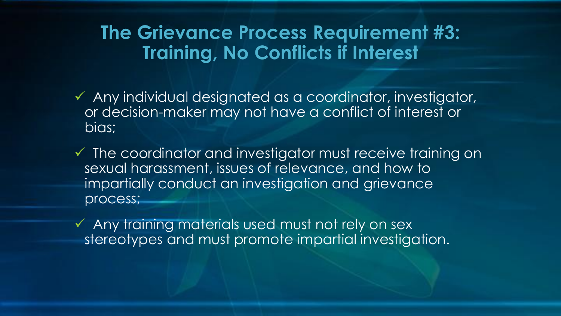### **The Grievance Process Requirement #3: Training, No Conflicts if Interest**

- ✓ Any individual designated as a coordinator, investigator, or decision-maker may not have a conflict of interest or bias;
- ✓ The coordinator and investigator must receive training on sexual harassment, issues of relevance, and how to impartially conduct an investigation and grievance process;
- ✓ Any training materials used must not rely on sex stereotypes and must promote impartial investigation.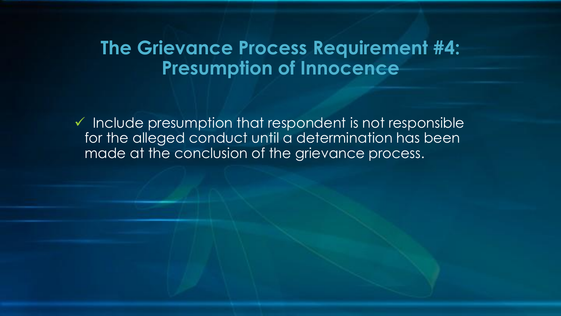### **The Grievance Process Requirement #4: Presumption of Innocence**

 $\checkmark$  Include presumption that respondent is not responsible for the alleged conduct until a determination has been made at the conclusion of the grievance process.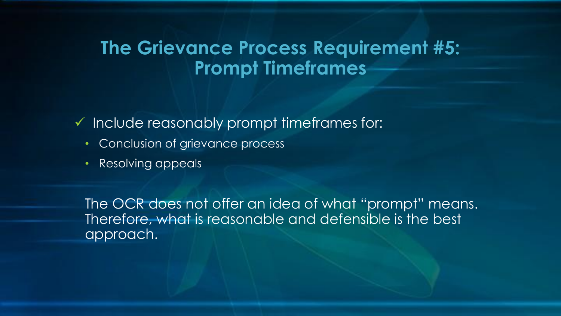### **The Grievance Process Requirement #5: Prompt Timeframes**

✓ Include reasonably prompt timeframes for:

- Conclusion of grievance process
- Resolving appeals

The OCR does not offer an idea of what "prompt" means. Therefore, what is reasonable and defensible is the best approach.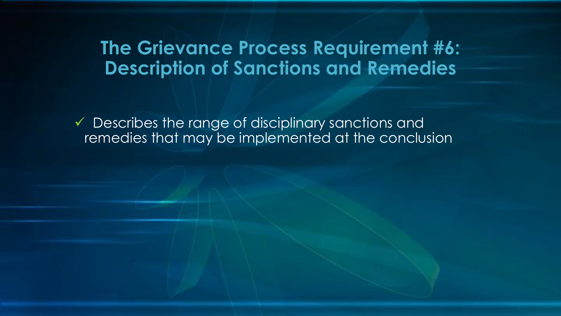### **The Grievance Process Requirement #6: Description of Sanctions and Remedies**

 $\checkmark$  Describes the range of disciplinary sanctions and remedies that may be implemented at the conclusion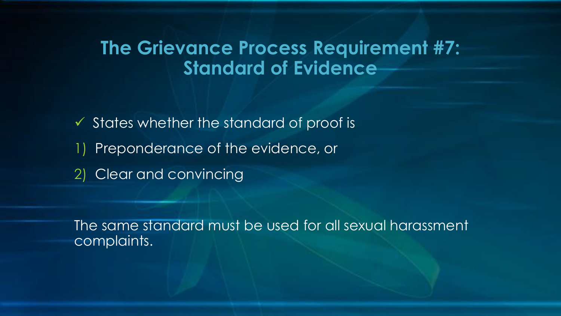### **The Grievance Process Requirement #7: Standard of Evidence**

✓ States whether the standard of proof is 1) Preponderance of the evidence, or 2) Clear and convincing

The same standard must be used for all sexual harassment complaints.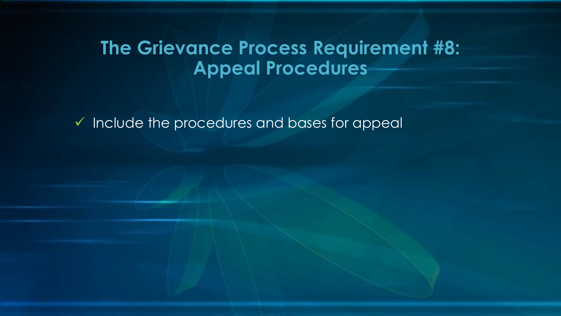### **The Grievance Process Requirement #8: Appeal Procedures**

✓ Include the procedures and bases for appeal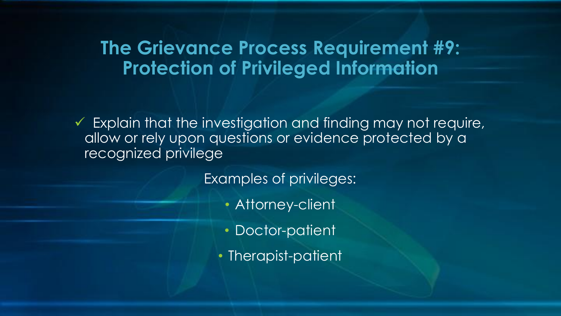### **The Grievance Process Requirement #9: Protection of Privileged Information**

 $\checkmark$  Explain that the investigation and finding may not require, allow or rely upon questions or evidence protected by a recognized privilege

Examples of privileges:

- Attorney-client
- Doctor-patient
- Therapist-patient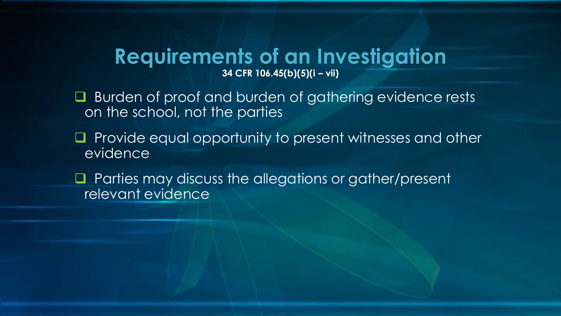#### **Requirements of an Investigation 34 CFR 106.45(b)(5)(i – vii)**

- ❑ Burden of proof and burden of gathering evidence rests on the school, not the parties
- ❑ Provide equal opportunity to present witnesses and other evidence
- ❑ Parties may discuss the allegations or gather/present relevant evidence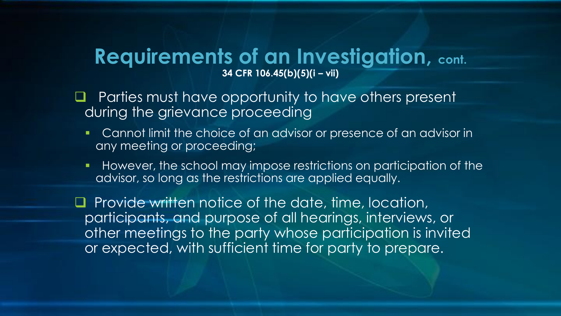#### **Requirements of an Investigation, cont. 34 CFR 106.45(b)(5)(i – vii)**

- ❑ Parties must have opportunity to have others present during the grievance proceeding
	- Cannot limit the choice of an advisor or presence of an advisor in any meeting or proceeding;
	- **However, the school may impose restrictions on participation of the** advisor, so long as the restrictions are applied equally.

❑ Provide written notice of the date, time, location, participants, and purpose of all hearings, interviews, or other meetings to the party whose participation is invited or expected, with sufficient time for party to prepare.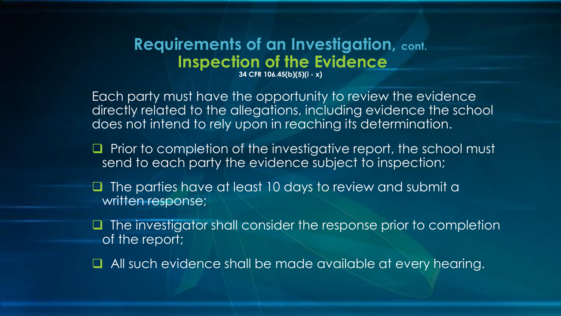### **Requirements of an Investigation, cont. Inspection of the Evidence**

**34 CFR 106.45(b)(5)(i - x)**

Each party must have the opportunity to review the evidence directly related to the allegations, including evidence the school does not intend to rely upon in reaching its determination.

- Prior to completion of the investigative report, the school must send to each party the evidence subject to inspection;
- The parties have at least 10 days to review and submit a written response;
- ❑ The investigator shall consider the response prior to completion of the report;
- ❑ All such evidence shall be made available at every hearing.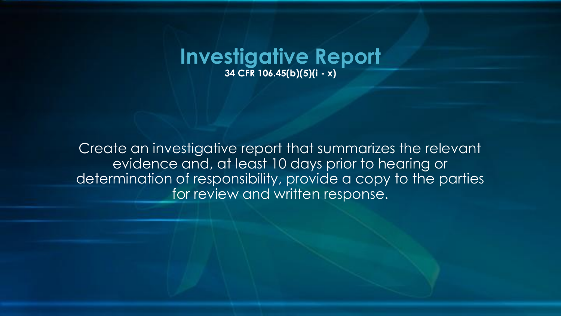

Create an investigative report that summarizes the relevant evidence and, at least 10 days prior to hearing or determination of responsibility, provide a copy to the parties for review and written response.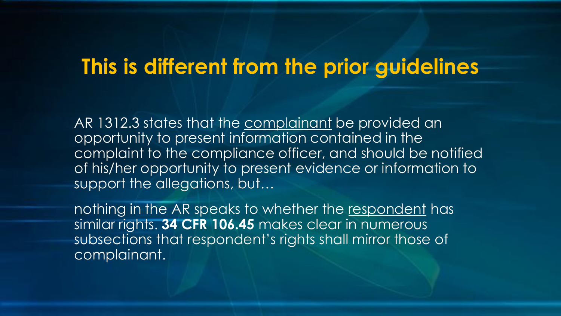### **This is different from the prior guidelines**

AR 1312.3 states that the complainant be provided an opportunity to present information contained in the complaint to the compliance officer, and should be notified of his/her opportunity to present evidence or information to support the allegations, but...

nothing in the AR speaks to whether the respondent has similar rights. **34 CFR 106.45** makes clear in numerous subsections that respondent's rights shall mirror those of complainant.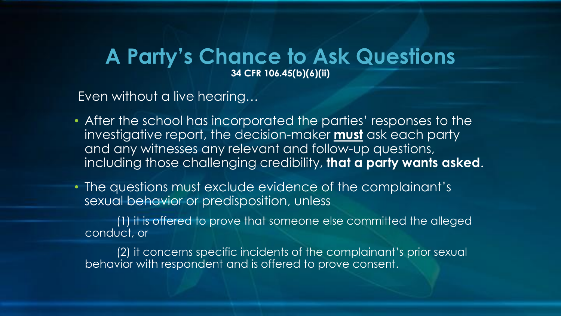#### **A Party's Chance to Ask Questions 34 CFR 106.45(b)(6)(ii)**

Even without a live hearing…

- After the school has incorporated the parties' responses to the investigative report, the decision-maker **must** ask each party and any witnesses any relevant and follow-up questions, including those challenging credibility, **that a party wants asked**.
- The questions must exclude evidence of the complainant's sexual behavior or predisposition, unless

(1) it is offered to prove that someone else committed the alleged conduct, or

(2) it concerns specific incidents of the complainant's prior sexual behavior with respondent and is offered to prove consent.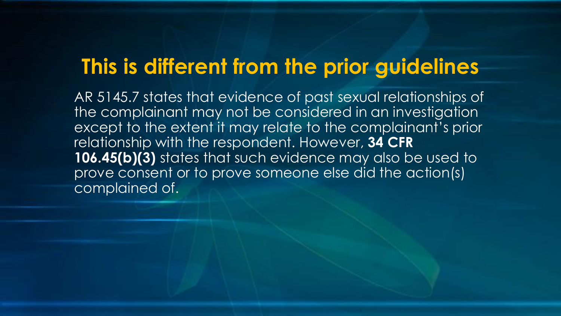### **This is different from the prior guidelines**

AR 5145.7 states that evidence of past sexual relationships of the complainant may not be considered in an investigation except to the extent it may relate to the complainant's prior relationship with the respondent. However, **34 CFR**  106.45(b)(3) states that such evidence may also be used to prove consent or to prove someone else did the action(s) complained of.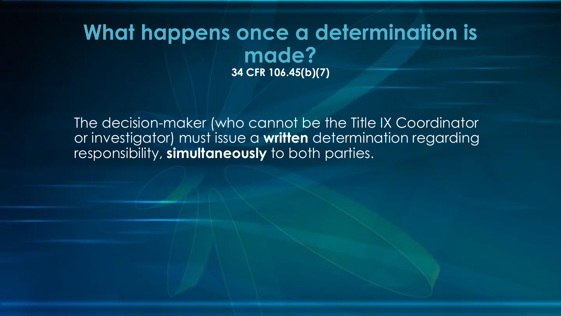### **What happens once a determination is made? 34 CFR 106.45(b)(7)**

The decision-maker (who cannot be the Title IX Coordinator or investigator) must issue a **written** determination regarding responsibility, **simultaneously** to both parties.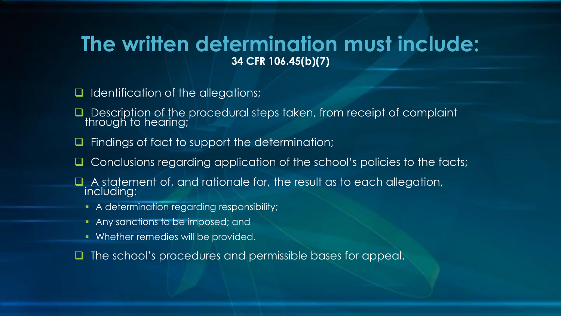### **The written determination must include: 34 CFR 106.45(b)(7)**

- ❑ Identification of the allegations;
- Description of the procedural steps taken, from receipt of complaint through to hearing;
- Findings of fact to support the determination;
- ❑ Conclusions regarding application of the school's policies to the facts;
- A statement of, and rationale for, the result as to each allegation, including:
	- A determination regarding responsibility;
	- Any sanctions to be imposed; and
	- Whether remedies will be provided.
- The school's procedures and permissible bases for appeal.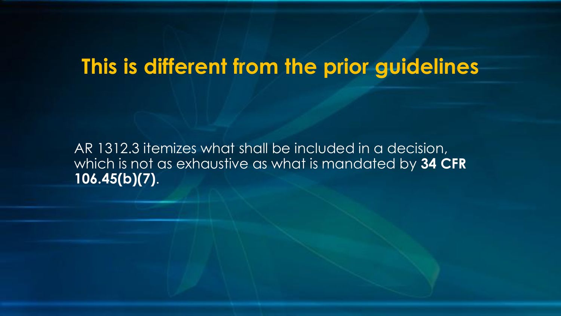### **This is different from the prior guidelines**

AR 1312.3 itemizes what shall be included in a decision, which is not as exhaustive as what is mandated by **34 CFR 106.45(b)(7)**.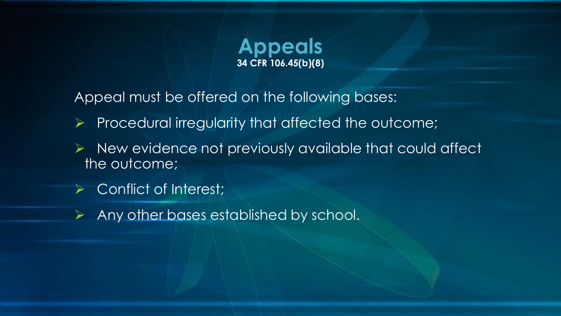

Appeal must be offered on the following bases:

- ➢ Procedural irregularity that affected the outcome;
- ➢ New evidence not previously available that could affect the outcome;
- Conflict of Interest;
- ➢ Any other bases established by school.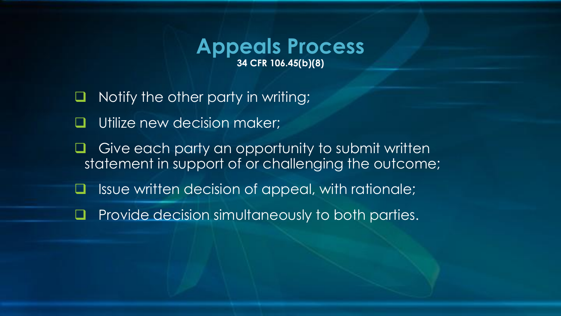#### **Appeals Process 34 CFR 106.45(b)(8)**

- ❑ Notify the other party in writing;
- Utilize new decision maker;
- ❑ Give each party an opportunity to submit written statement in support of or challenging the outcome;
- ❑ Issue written decision of appeal, with rationale;
- ❑ Provide decision simultaneously to both parties.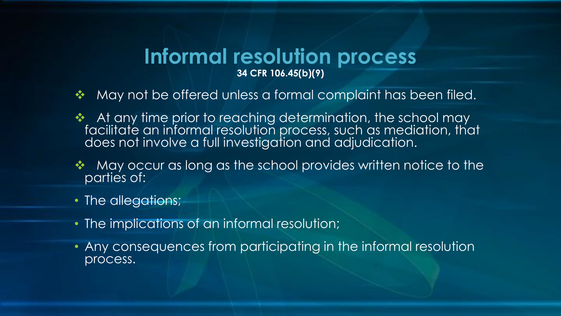#### **Informal resolution process 34 CFR 106.45(b)(9)**

- ❖ May not be offered unless a formal complaint has been filed.
- At any time prior to reaching determination, the school may facilitate an informal resolution process, such as mediation, that does not involve a full investigation and adjudication.
- ❖ May occur as long as the school provides written notice to the parties of:
- The allegations;
- The implications of an informal resolution;
- Any consequences from participating in the informal resolution process.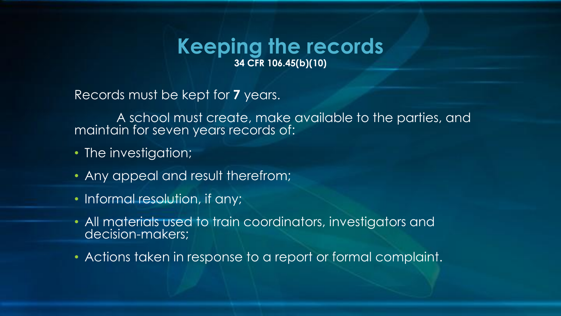#### **Keeping the records 34 CFR 106.45(b)(10)**

Records must be kept for **7** years.

A school must create, make available to the parties, and maintain for seven years records of:

- The investigation;
- Any appeal and result therefrom;
- Informal resolution, if any;
- All materials used to train coordinators, investigators and decision-makers;
- Actions taken in response to a report or formal complaint.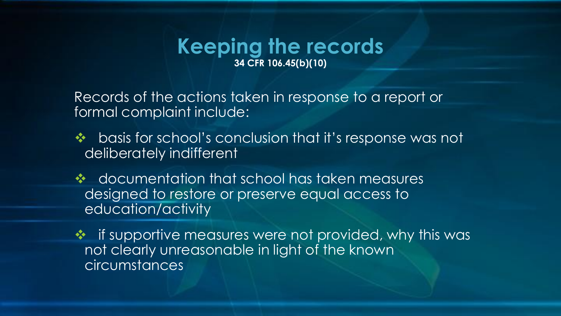#### **Keeping the records 34 CFR 106.45(b)(10)**

Records of the actions taken in response to a report or formal complaint include:

- ❖ basis for school's conclusion that it's response was not deliberately indifferent
- ❖ documentation that school has taken measures designed to restore or preserve equal access to education/activity
- ❖ if supportive measures were not provided, why this was not clearly unreasonable in light of the known circumstances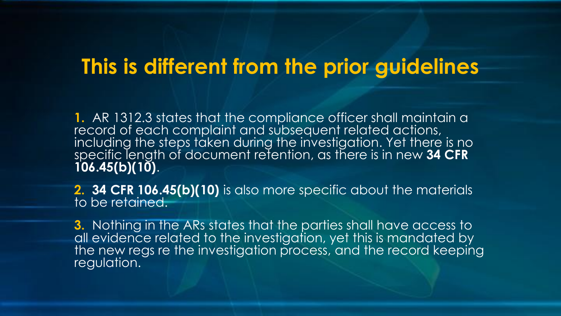### **This is different from the prior guidelines**

1. AR 1312.3 states that the compliance officer shall maintain a record of each complaint and subsequent related actions, including the steps taken during the investigation. Yet there is no specific length of document retention, as there is in new **34 CFR 106.45(b)(10)**.

**2. 34 CFR 106.45(b)(10)** is also more specific about the materials to be retained.

**3.** Nothing in the ARs states that the parties shall have access to all evidence related to the investigation, yet this is mandated by the new regs re the investigation process, and the record keeping regulation.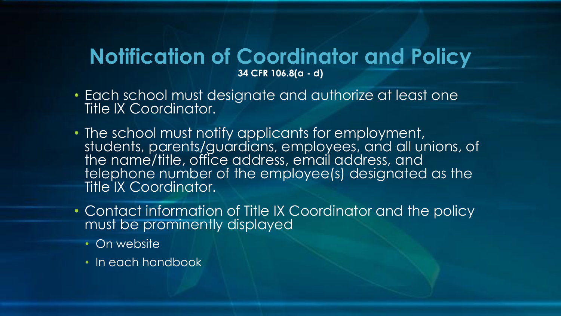#### **Notification of Coordinator and Policy 34 CFR 106.8(a - d)**

- Each school must designate and authorize at least one Title IX Coordinator.
- The school must notify applicants for employment, students, parents/guardians, employees, and all unions, of the name/title, office address, email address, and telephone number of the employee(s) designated as the Title IX Coordinator.
- Contact information of Title IX Coordinator and the policy must be prominently displayed
	- On website
	- In each handbook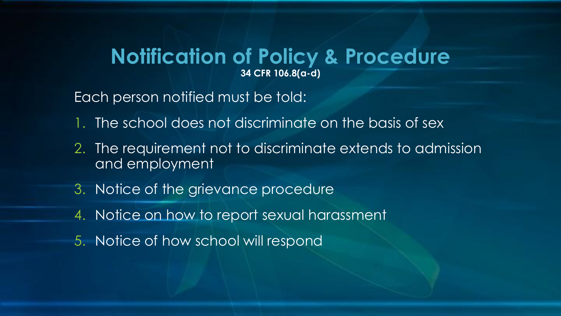#### **Notification of Policy & Procedure 34 CFR 106.8(a-d)**

Each person notified must be told:

- 1. The school does not discriminate on the basis of sex
- 2. The requirement not to discriminate extends to admission and employment
- 3. Notice of the grievance procedure
- 4. Notice on how to report sexual harassment
- 5. Notice of how school will respond